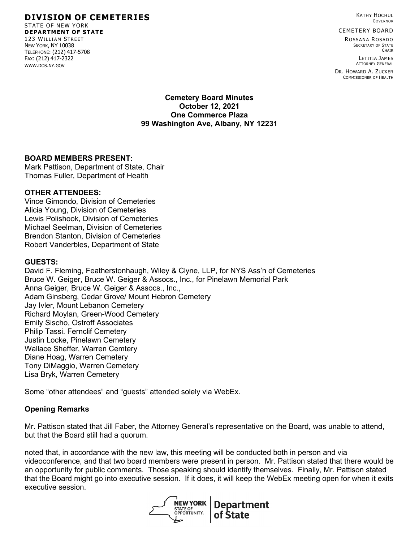KATHY HOCHUL GOVERNOR

#### CEMETERY BOARD

R OSSANA R OSADO SECRETARY OF STATE **CHAIR** 

> LETITIA JAMES ATTORNEY GENERAL

DR. HOWARD A. ZUCKER COMMISSIONER OF HEALTH

#### **Cemetery Board Minutes October 12, 2021 One Commerce Plaza 99 Washington Ave, Albany, NY 12231**

#### **BOARD MEMBERS PRESENT:**

Mark Pattison, Department of State, Chair Thomas Fuller, Department of Health

#### **OTHER ATTENDEES:**

Vince Gimondo, Division of Cemeteries Alicia Young, Division of Cemeteries Lewis Polishook, Division of Cemeteries Michael Seelman, Division of Cemeteries Brendon Stanton, Division of Cemeteries Robert Vanderbles, Department of State

#### **GUESTS:**

David F. Fleming, Featherstonhaugh, Wiley & Clyne, LLP, for NYS Ass'n of Cemeteries Bruce W. Geiger, Bruce W. Geiger & Assocs., Inc., for Pinelawn Memorial Park Anna Geiger, Bruce W. Geiger & Assocs., Inc., Adam Ginsberg, Cedar Grove/ Mount Hebron Cemetery Jay Ivler, Mount Lebanon Cemetery Richard Moylan, Green-Wood Cemetery Emily Sischo, Ostroff Associates Philip Tassi. Fernclif Cemetery Justin Locke, Pinelawn Cemetery Wallace Sheffer, Warren Cemtery Diane Hoag, Warren Cemetery Tony DiMaggio, Warren Cemetery Lisa Bryk, Warren Cemetery

Some "other attendees" and "guests" attended solely via WebEx.

#### **Opening Remarks**

Mr. Pattison stated that Jill Faber, the Attorney General's representative on the Board, was unable to attend, but that the Board still had a quorum.

noted that, in accordance with the new law, this meeting will be conducted both in person and via videoconference, and that two board members were present in person. Mr. Pattison stated that there would be an opportunity for public comments. Those speaking should identify themselves. Finally, Mr. Pattison stated that the Board might go into executive session. If it does, it will keep the WebEx meeting open for when it exits executive session.



# **DIVISION OF CEMETERIES**

STATE OF NEW YORK **DEPARTMENT OF STATE** 123 WILLIAM STREET NEW YORK, NY 10038 TELEPHONE: (212) 417-5708 FAX: (212) 417-2322 WWW.DOS.NY.GOV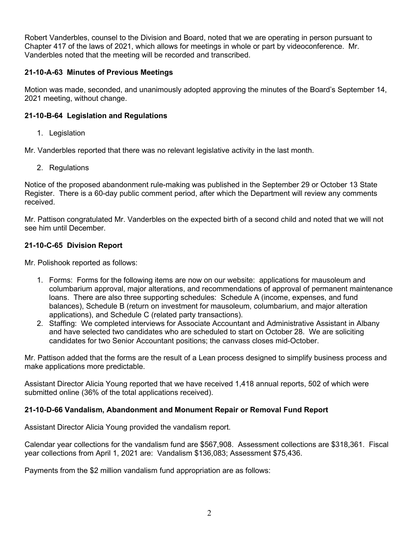Robert Vanderbles, counsel to the Division and Board, noted that we are operating in person pursuant to Chapter 417 of the laws of 2021, which allows for meetings in whole or part by videoconference. Mr. Vanderbles noted that the meeting will be recorded and transcribed.

## **21-10-A-63 Minutes of Previous Meetings**

Motion was made, seconded, and unanimously adopted approving the minutes of the Board's September 14, 2021 meeting, without change.

## **21-10-B-64 Legislation and Regulations**

1. Legislation

Mr. Vanderbles reported that there was no relevant legislative activity in the last month.

2. Regulations

Notice of the proposed abandonment rule-making was published in the September 29 or October 13 State Register. There is a 60-day public comment period, after which the Department will review any comments received.

Mr. Pattison congratulated Mr. Vanderbles on the expected birth of a second child and noted that we will not see him until December.

### **21-10-C-65 Division Report**

Mr. Polishook reported as follows:

- 1. Forms: Forms for the following items are now on our website: applications for mausoleum and columbarium approval, major alterations, and recommendations of approval of permanent maintenance loans. There are also three supporting schedules: Schedule A (income, expenses, and fund balances), Schedule B (return on investment for mausoleum, columbarium, and major alteration applications), and Schedule C (related party transactions).
- 2. Staffing: We completed interviews for Associate Accountant and Administrative Assistant in Albany and have selected two candidates who are scheduled to start on October 28. We are soliciting candidates for two Senior Accountant positions; the canvass closes mid-October.

Mr. Pattison added that the forms are the result of a Lean process designed to simplify business process and make applications more predictable.

Assistant Director Alicia Young reported that we have received 1,418 annual reports, 502 of which were submitted online (36% of the total applications received).

#### **21-10-D-66 Vandalism, Abandonment and Monument Repair or Removal Fund Report**

Assistant Director Alicia Young provided the vandalism report.

Calendar year collections for the vandalism fund are \$567,908. Assessment collections are \$318,361. Fiscal year collections from April 1, 2021 are: Vandalism \$136,083; Assessment \$75,436.

Payments from the \$2 million vandalism fund appropriation are as follows: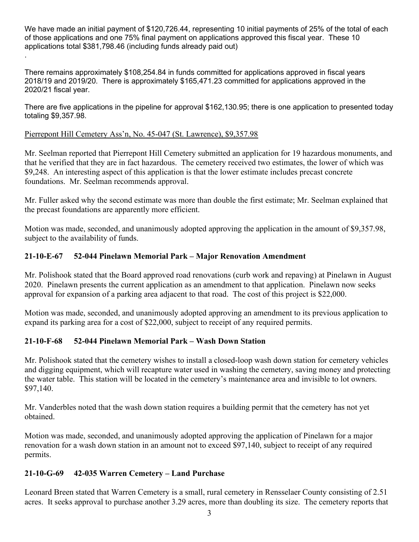We have made an initial payment of \$120,726.44, representing 10 initial payments of 25% of the total of each of those applications and one 75% final payment on applications approved this fiscal year. These 10 applications total \$381,798.46 (including funds already paid out) .

There remains approximately \$108,254.84 in funds committed for applications approved in fiscal years 2018/19 and 2019/20. There is approximately \$165,471.23 committed for applications approved in the 2020/21 fiscal year.

There are five applications in the pipeline for approval \$162,130.95; there is one application to presented today totaling \$9,357.98.

## Pierrepont Hill Cemetery Ass'n, No. 45-047 (St. Lawrence), \$9,357.98

Mr. Seelman reported that Pierrepont Hill Cemetery submitted an application for 19 hazardous monuments, and that he verified that they are in fact hazardous. The cemetery received two estimates, the lower of which was \$9,248. An interesting aspect of this application is that the lower estimate includes precast concrete foundations. Mr. Seelman recommends approval.

Mr. Fuller asked why the second estimate was more than double the first estimate; Mr. Seelman explained that the precast foundations are apparently more efficient.

Motion was made, seconded, and unanimously adopted approving the application in the amount of \$9,357.98, subject to the availability of funds.

## **21-10-E-67 52-044 Pinelawn Memorial Park – Major Renovation Amendment**

Mr. Polishook stated that the Board approved road renovations (curb work and repaving) at Pinelawn in August 2020. Pinelawn presents the current application as an amendment to that application. Pinelawn now seeks approval for expansion of a parking area adjacent to that road. The cost of this project is \$22,000.

Motion was made, seconded, and unanimously adopted approving an amendment to its previous application to expand its parking area for a cost of \$22,000, subject to receipt of any required permits.

## **21-10-F-68 52-044 Pinelawn Memorial Park – Wash Down Station**

Mr. Polishook stated that the cemetery wishes to install a closed-loop wash down station for cemetery vehicles and digging equipment, which will recapture water used in washing the cemetery, saving money and protecting the water table. This station will be located in the cemetery's maintenance area and invisible to lot owners. \$97,140.

Mr. Vanderbles noted that the wash down station requires a building permit that the cemetery has not yet obtained.

Motion was made, seconded, and unanimously adopted approving the application of Pinelawn for a major renovation for a wash down station in an amount not to exceed \$97,140, subject to receipt of any required permits.

## **21-10-G-69 42-035 Warren Cemetery – Land Purchase**

Leonard Breen stated that Warren Cemetery is a small, rural cemetery in Rensselaer County consisting of 2.51 acres. It seeks approval to purchase another 3.29 acres, more than doubling its size. The cemetery reports that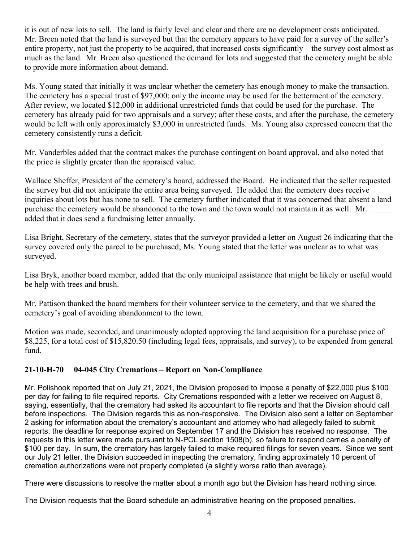it is out of new lots to sell. The land is fairly level and clear and there are no development costs anticipated. Mr. Breen noted that the land is surveyed but that the cemetery appears to have paid for a survey of the seller's entire property, not just the property to be acquired, that increased costs significantly—the survey cost almost as much as the land. Mr. Breen also questioned the demand for lots and suggested that the cemetery might be able to provide more information about demand.

Ms. Young stated that initially it was unclear whether the cemetery has enough money to make the transaction. The cemetery has a special trust of \$97,000; only the income may be used for the betterment of the cemetery. After review, we located \$12,000 in additional unrestricted funds that could be used for the purchase. The cemetery has already paid for two appraisals and a survey; after these costs, and after the purchase, the cemetery would be left with only approximately \$3,000 in unrestricted funds. Ms. Young also expressed concern that the cemetery consistently runs a deficit.

Mr. Vanderbles added that the contract makes the purchase contingent on board approval, and also noted that the price is slightly greater than the appraised value.

Wallace Sheffer, President of the cemetery's board, addressed the Board. He indicated that the seller requested the survey but did not anticipate the entire area being surveyed. He added that the cemetery does receive inquiries about lots but has none to sell. The cemetery further indicated that it was concerned that absent a land purchase the cemetery would be abandoned to the town and the town would not maintain it as well. Mr. added that it does send a fundraising letter annually.

Lisa Bright, Secretary of the cemetery, states that the surveyor provided a letter on August 26 indicating that the survey covered only the parcel to be purchased; Ms. Young stated that the letter was unclear as to what was surveyed.

Lisa Bryk, another board member, added that the only municipal assistance that might be likely or useful would be help with trees and brush.

Mr. Pattison thanked the board members for their volunteer service to the cemetery, and that we shared the cemetery's goal of avoiding abandonment to the town.

Motion was made, seconded, and unanimously adopted approving the land acquisition for a purchase price of \$8,225, for a total cost of \$15,820.50 (including legal fees, appraisals, and survey), to be expended from general fund.

## **21-10-H-70 04-045 City Cremations – Report on Non-Compliance**

Mr. Polishook reported that on July 21, 2021, the Division proposed to impose a penalty of \$22,000 plus \$100 per day for failing to file required reports. City Cremations responded with a letter we received on August 8, saying, essentially, that the crematory had asked its accountant to file reports and that the Division should call before inspections. The Division regards this as non-responsive. The Division also sent a letter on September 2 asking for information about the crematory's accountant and attorney who had allegedly failed to submit reports; the deadline for response expired on September 17 and the Division has received no response. The requests in this letter were made pursuant to N-PCL section 1508(b), so failure to respond carries a penalty of \$100 per day. In sum, the crematory has largely failed to make required filings for seven years. Since we sent our July 21 letter, the Division succeeded in inspecting the crematory, finding approximately 10 percent of cremation authorizations were not properly completed (a slightly worse ratio than average).

There were discussions to resolve the matter about a month ago but the Division has heard nothing since.

The Division requests that the Board schedule an administrative hearing on the proposed penalties.